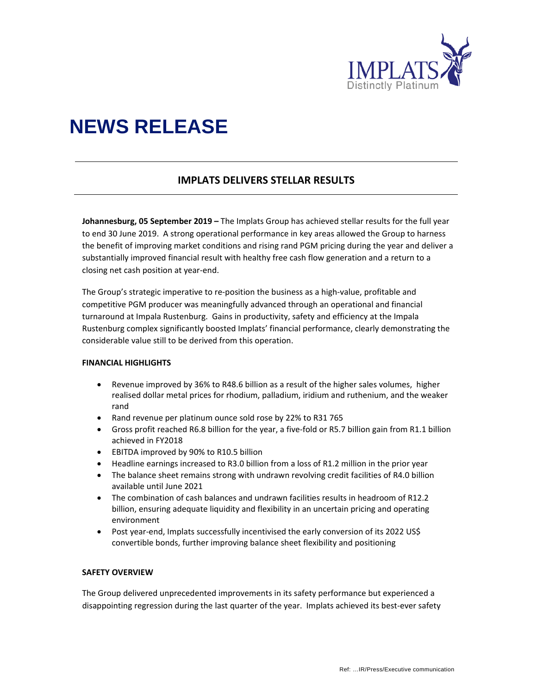

# **NEWS RELEASE**

# **IMPLATS DELIVERS STELLAR RESULTS**

**Johannesburg, 05 September 2019 –** The Implats Group has achieved stellar results for the full year to end 30 June 2019. A strong operational performance in key areas allowed the Group to harness the benefit of improving market conditions and rising rand PGM pricing during the year and deliver a substantially improved financial result with healthy free cash flow generation and a return to a closing net cash position at year‐end.

The Group's strategic imperative to re‐position the business as a high‐value, profitable and competitive PGM producer was meaningfully advanced through an operational and financial turnaround at Impala Rustenburg. Gains in productivity, safety and efficiency at the Impala Rustenburg complex significantly boosted Implats' financial performance, clearly demonstrating the considerable value still to be derived from this operation.

#### **FINANCIAL HIGHLIGHTS**

- Revenue improved by 36% to R48.6 billion as a result of the higher sales volumes, higher realised dollar metal prices for rhodium, palladium, iridium and ruthenium, and the weaker rand
- Rand revenue per platinum ounce sold rose by 22% to R31 765
- Gross profit reached R6.8 billion for the year, a five‐fold or R5.7 billion gain from R1.1 billion achieved in FY2018
- EBITDA improved by 90% to R10.5 billion
- Headline earnings increased to R3.0 billion from a loss of R1.2 million in the prior year
- The balance sheet remains strong with undrawn revolving credit facilities of R4.0 billion available until June 2021
- The combination of cash balances and undrawn facilities results in headroom of R12.2 billion, ensuring adequate liquidity and flexibility in an uncertain pricing and operating environment
- Post year-end, Implats successfully incentivised the early conversion of its 2022 US\$ convertible bonds, further improving balance sheet flexibility and positioning

#### **SAFETY OVERVIEW**

The Group delivered unprecedented improvements in its safety performance but experienced a disappointing regression during the last quarter of the year. Implats achieved its best-ever safety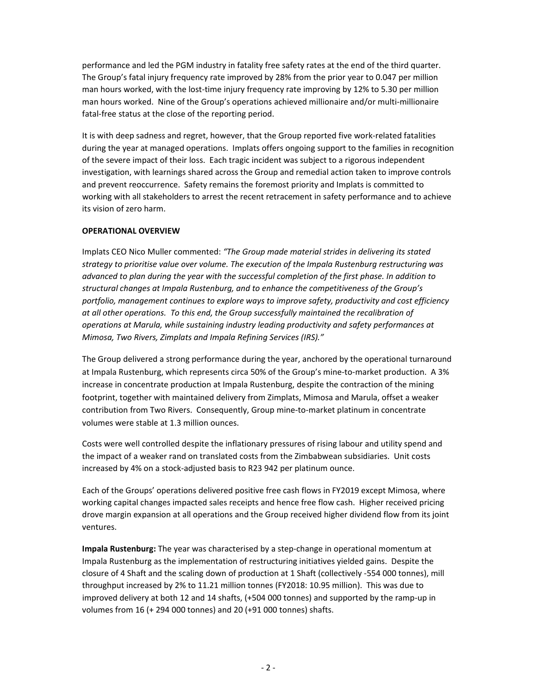performance and led the PGM industry in fatality free safety rates at the end of the third quarter. The Group's fatal injury frequency rate improved by 28% from the prior year to 0.047 per million man hours worked, with the lost-time injury frequency rate improving by 12% to 5.30 per million man hours worked. Nine of the Group's operations achieved millionaire and/or multi‐millionaire fatal-free status at the close of the reporting period.

It is with deep sadness and regret, however, that the Group reported five work‐related fatalities during the year at managed operations. Implats offers ongoing support to the families in recognition of the severe impact of their loss. Each tragic incident was subject to a rigorous independent investigation, with learnings shared across the Group and remedial action taken to improve controls and prevent reoccurrence. Safety remains the foremost priority and Implats is committed to working with all stakeholders to arrest the recent retracement in safety performance and to achieve its vision of zero harm.

### **OPERATIONAL OVERVIEW**

Implats CEO Nico Muller commented: *"The Group made material strides in delivering its stated strategy to prioritise value over volume. The execution of the Impala Rustenburg restructuring was advanced to plan during the year with the successful completion of the first phase. In addition to structural changes at Impala Rustenburg, and to enhance the competitiveness of the Group's portfolio, management continues to explore ways to improve safety, productivity and cost efficiency at all other operations. To this end, the Group successfully maintained the recalibration of operations at Marula, while sustaining industry leading productivity and safety performances at Mimosa, Two Rivers, Zimplats and Impala Refining Services (IRS)."*

The Group delivered a strong performance during the year, anchored by the operational turnaround at Impala Rustenburg, which represents circa 50% of the Group's mine-to-market production. A 3% increase in concentrate production at Impala Rustenburg, despite the contraction of the mining footprint, together with maintained delivery from Zimplats, Mimosa and Marula, offset a weaker contribution from Two Rivers. Consequently, Group mine-to-market platinum in concentrate volumes were stable at 1.3 million ounces.

Costs were well controlled despite the inflationary pressures of rising labour and utility spend and the impact of a weaker rand on translated costs from the Zimbabwean subsidiaries. Unit costs increased by 4% on a stock‐adjusted basis to R23 942 per platinum ounce.

Each of the Groups' operations delivered positive free cash flows in FY2019 except Mimosa, where working capital changes impacted sales receipts and hence free flow cash. Higher received pricing drove margin expansion at all operations and the Group received higher dividend flow from its joint ventures.

**Impala Rustenburg:** The year was characterised by a step‐change in operational momentum at Impala Rustenburg as the implementation of restructuring initiatives yielded gains. Despite the closure of 4 Shaft and the scaling down of production at 1 Shaft (collectively ‐554 000 tonnes), mill throughput increased by 2% to 11.21 million tonnes (FY2018: 10.95 million). This was due to improved delivery at both 12 and 14 shafts, (+504 000 tonnes) and supported by the ramp‐up in volumes from 16 (+ 294 000 tonnes) and 20 (+91 000 tonnes) shafts.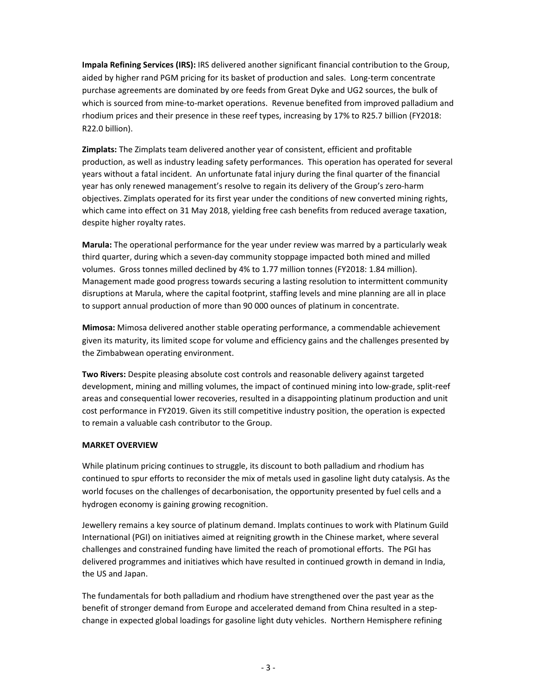**Impala Refining Services (IRS):** IRS delivered another significant financial contribution to the Group, aided by higher rand PGM pricing for its basket of production and sales. Long-term concentrate purchase agreements are dominated by ore feeds from Great Dyke and UG2 sources, the bulk of which is sourced from mine-to-market operations. Revenue benefited from improved palladium and rhodium prices and their presence in these reef types, increasing by 17% to R25.7 billion (FY2018: R22.0 billion).

**Zimplats:** The Zimplats team delivered another year of consistent, efficient and profitable production, as well as industry leading safety performances. This operation has operated for several years without a fatal incident. An unfortunate fatal injury during the final quarter of the financial year has only renewed management's resolve to regain its delivery of the Group's zero‐harm objectives. Zimplats operated for its first year under the conditions of new converted mining rights, which came into effect on 31 May 2018, yielding free cash benefits from reduced average taxation, despite higher royalty rates.

**Marula:** The operational performance for the year under review was marred by a particularly weak third quarter, during which a seven‐day community stoppage impacted both mined and milled volumes. Gross tonnes milled declined by 4% to 1.77 million tonnes (FY2018: 1.84 million). Management made good progress towards securing a lasting resolution to intermittent community disruptions at Marula, where the capital footprint, staffing levels and mine planning are all in place to support annual production of more than 90 000 ounces of platinum in concentrate.

**Mimosa:** Mimosa delivered another stable operating performance, a commendable achievement given its maturity, its limited scope for volume and efficiency gains and the challenges presented by the Zimbabwean operating environment.

**Two Rivers:** Despite pleasing absolute cost controls and reasonable delivery against targeted development, mining and milling volumes, the impact of continued mining into low-grade, split-reef areas and consequential lower recoveries, resulted in a disappointing platinum production and unit cost performance in FY2019. Given its still competitive industry position, the operation is expected to remain a valuable cash contributor to the Group.

### **MARKET OVERVIEW**

While platinum pricing continues to struggle, its discount to both palladium and rhodium has continued to spur efforts to reconsider the mix of metals used in gasoline light duty catalysis. As the world focuses on the challenges of decarbonisation, the opportunity presented by fuel cells and a hydrogen economy is gaining growing recognition.

Jewellery remains a key source of platinum demand. Implats continues to work with Platinum Guild International (PGI) on initiatives aimed at reigniting growth in the Chinese market, where several challenges and constrained funding have limited the reach of promotional efforts. The PGI has delivered programmes and initiatives which have resulted in continued growth in demand in India, the US and Japan.

The fundamentals for both palladium and rhodium have strengthened over the past year as the benefit of stronger demand from Europe and accelerated demand from China resulted in a stepchange in expected global loadings for gasoline light duty vehicles. Northern Hemisphere refining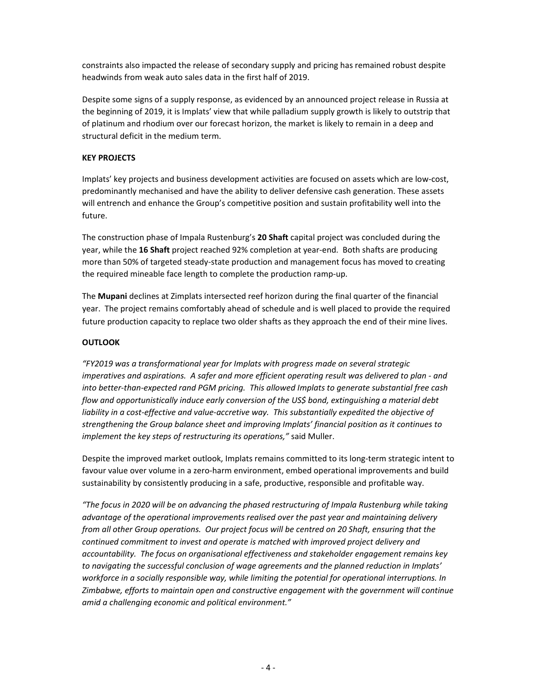constraints also impacted the release of secondary supply and pricing has remained robust despite headwinds from weak auto sales data in the first half of 2019.

Despite some signs of a supply response, as evidenced by an announced project release in Russia at the beginning of 2019, it is Implats' view that while palladium supply growth is likely to outstrip that of platinum and rhodium over our forecast horizon, the market is likely to remain in a deep and structural deficit in the medium term.

# **KEY PROJECTS**

Implats' key projects and business development activities are focused on assets which are low‐cost, predominantly mechanised and have the ability to deliver defensive cash generation. These assets will entrench and enhance the Group's competitive position and sustain profitability well into the future.

The construction phase of Impala Rustenburg's **20 Shaft** capital project was concluded during the year, while the **16 Shaft** project reached 92% completion at year‐end. Both shafts are producing more than 50% of targeted steady‐state production and management focus has moved to creating the required mineable face length to complete the production ramp‐up.

The **Mupani** declines at Zimplats intersected reef horizon during the final quarter of the financial year. The project remains comfortably ahead of schedule and is well placed to provide the required future production capacity to replace two older shafts as they approach the end of their mine lives.

## **OUTLOOK**

*"FY2019 was a transformational year for Implats with progress made on several strategic imperatives and aspirations. A safer and more efficient operating result was delivered to plan ‐ and* into better-than-expected rand PGM pricing. This allowed Implats to generate substantial free cash *flow and opportunistically induce early conversion of the US\$ bond, extinguishing a material debt* liability in a cost-effective and value-accretive way. This substantially expedited the objective of *strengthening the Group balance sheet and improving Implats' financial position as it continues to implement the key steps of restructuring its operations,"* said Muller.

Despite the improved market outlook, Implats remains committed to its long-term strategic intent to favour value over volume in a zero‐harm environment, embed operational improvements and build sustainability by consistently producing in a safe, productive, responsible and profitable way.

*"The focus in 2020 will be on advancing the phased restructuring of Impala Rustenburg while taking advantage of the operational improvements realised over the past year and maintaining delivery from all other Group operations. Our project focus will be centred on 20 Shaft, ensuring that the continued commitment to invest and operate is matched with improved project delivery and accountability. The focus on organisational effectiveness and stakeholder engagement remains key to navigating the successful conclusion of wage agreements and the planned reduction in Implats' workforce in a socially responsible way, while limiting the potential for operational interruptions. In Zimbabwe, efforts to maintain open and constructive engagement with the government will continue amid a challenging economic and political environment."*